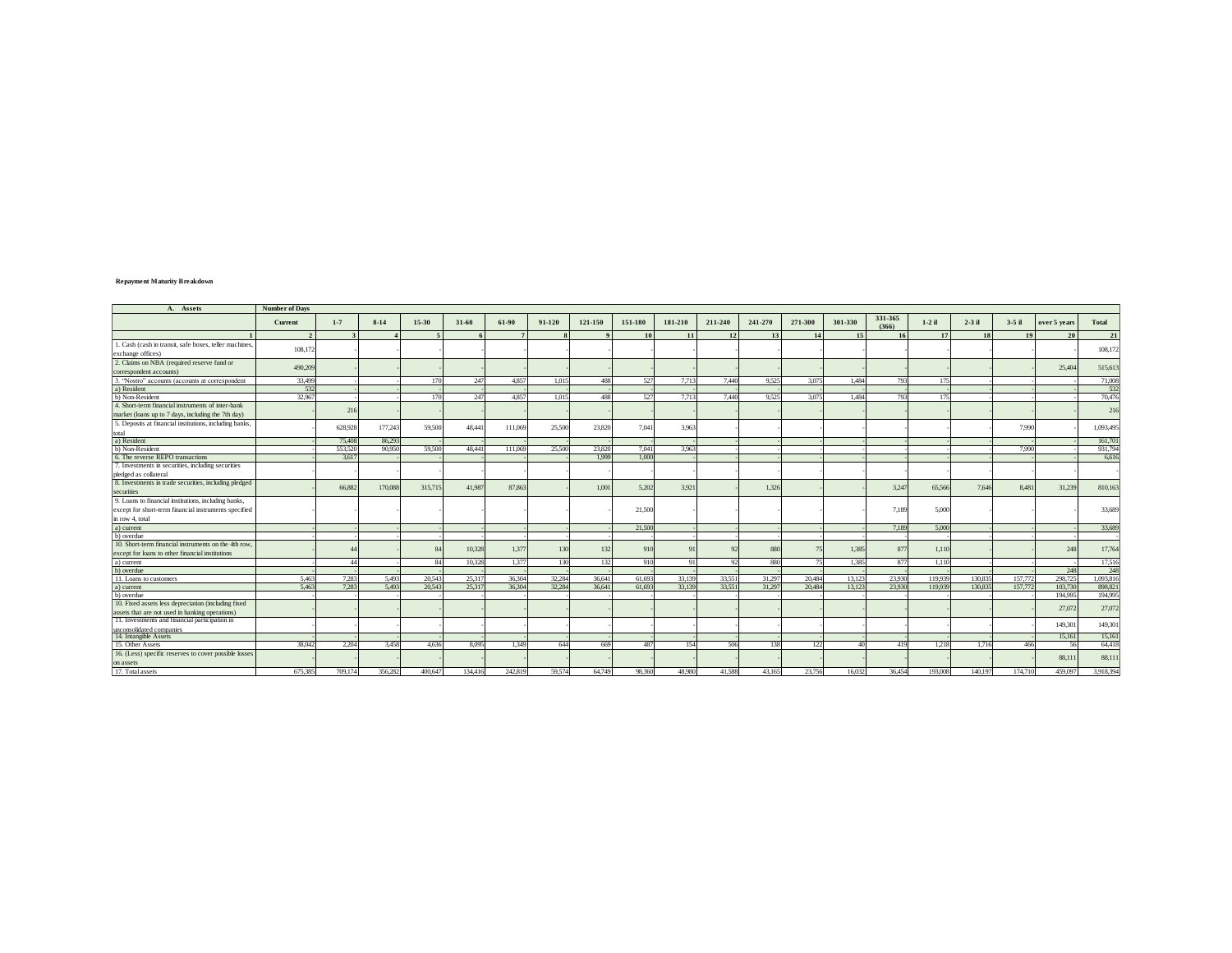## **Repayment Maturity Breakdown**

| A. Assets                                               | <b>Number of Days</b> |         |         |         |           |         |        |         |         |          |          |         |         |         |                  |                 |          |          |              |           |
|---------------------------------------------------------|-----------------------|---------|---------|---------|-----------|---------|--------|---------|---------|----------|----------|---------|---------|---------|------------------|-----------------|----------|----------|--------------|-----------|
|                                                         | Current               | $1 - 7$ | $8-14$  | 15-30   | $31 - 60$ | 61-90   | 91-120 | 121-150 | 151-180 | 181-210  | 211-240  | 241-270 | 271-300 | 301-330 | 331-365<br>(366) | $1-2$ il        | $2-3$ il | $3-5$ il | over 5 years | Total     |
|                                                         |                       |         |         |         |           |         |        |         | 10      | 11       | 12       | 13      |         | 15      |                  | 17              |          |          | 20           | 21        |
| 1. Cash (cash in transit, safe boxes, teller machines,  | 108,172               |         |         |         |           |         |        |         |         |          |          |         |         |         |                  |                 |          |          |              |           |
| exchange offices)                                       |                       |         |         |         |           |         |        |         |         |          |          |         |         |         |                  |                 |          |          |              | 108,17    |
| 2. Claims on NBA (required reserve fund or              |                       |         |         |         |           |         |        |         |         |          |          |         |         |         |                  |                 |          |          |              |           |
| correspondent accounts)                                 | 490,209               |         |         |         |           |         |        |         |         |          |          |         |         |         |                  |                 |          |          | 25.40        | 515,613   |
| 3. "Nostro" accounts (accounts at correspondent         | 33,499                |         |         | 170     | 247       | 4.857   | 1.015  | 488     | 527     | 7.713    | 7.440    | 9.525   | 3.075   | 1.484   | 793              | 175             |          |          |              | 71.00     |
| a) Resident                                             | 532                   |         |         |         |           |         |        |         |         |          |          |         |         |         |                  |                 |          |          |              | 53        |
| b) Non-Resident                                         | 32,967                |         |         |         | 247       | 4.857   | 1.015  | 488     | 527     | 7.713    | 7.440    | 9.525   | 3.075   | 1.484   | 793              | 17 <sup>5</sup> |          |          |              | 70.47     |
| 4. Short-term financial instruments of inter-bank       |                       | 216     |         |         |           |         |        |         |         |          |          |         |         |         |                  |                 |          |          |              | 216       |
| market (loans up to 7 days, including the 7th day)      |                       |         |         |         |           |         |        |         |         |          |          |         |         |         |                  |                 |          |          |              |           |
| 5. Deposits at financial institutions, including banks, |                       |         |         |         |           |         |        |         |         |          |          |         |         |         |                  |                 |          |          |              |           |
|                                                         |                       | 628,928 | 177,243 | 59,500  | 48,44     | 111,06  | 25,500 | 23,820  | 7.041   | 3.963    |          |         |         |         |                  |                 |          | 7,990    |              | 1,093,495 |
| total<br>a) Resident                                    |                       | 75,408  | 86,293  |         |           |         |        |         |         |          |          |         |         |         |                  |                 |          |          |              | 161,70    |
| b) Non-Resident                                         |                       | 553.520 | 90,950  | 59,500  | 48.441    | 111.06  | 25.500 | 23,820  | 7.041   | 3.963    |          |         |         |         |                  |                 |          | 7,990    |              | 931.79    |
| 6. The reverse REPO transactions                        |                       | 3.617   |         |         |           |         |        | 1.999   | 1,000   |          |          |         |         |         |                  |                 |          |          |              | 6,61      |
| 7. Investments in securities, including securities      |                       |         |         |         |           |         |        |         |         |          |          |         |         |         |                  |                 |          |          |              |           |
| pledged as collateral                                   |                       |         |         |         |           |         |        |         |         |          |          |         |         |         |                  |                 |          |          |              |           |
| 8. Investments in trade securities, including pledged   |                       | 66.882  | 170,088 | 315,715 | 41,987    | 87.86   |        | 1,001   | 5,202   | 3.921    |          | 1,326   |         |         | 3,247            | 65,566          | 7.646    | 8,481    | 31,239       | 810,163   |
| securities                                              |                       |         |         |         |           |         |        |         |         |          |          |         |         |         |                  |                 |          |          |              |           |
| 9. Loans to financial institutions, including banks,    |                       |         |         |         |           |         |        |         |         |          |          |         |         |         |                  |                 |          |          |              |           |
| except for short-term financial instruments specified   |                       |         |         |         |           |         |        |         | 21,500  |          |          |         |         |         | 7.189            | 5.000           |          |          |              | 33,689    |
| in row 4, total                                         |                       |         |         |         |           |         |        |         |         |          |          |         |         |         |                  |                 |          |          |              |           |
| a) current                                              |                       |         |         |         |           |         |        |         | 21.500  |          |          |         |         |         | 7.189            | 5.000           |          |          |              | 33.689    |
| b) overdue                                              |                       |         |         |         |           |         |        |         |         |          |          |         |         |         |                  |                 |          |          |              |           |
| 10. Short-term financial instruments on the 4th row     |                       |         |         |         | 10,328    | 1.377   | 130    | 132     | 910     |          | 92       | 880     |         | 1.385   | 877              | 1,110           |          |          | 248          | 17,764    |
| except for loans to other financial institutions        |                       |         |         |         |           |         |        |         |         |          |          |         |         |         |                  |                 |          |          |              |           |
| a) current                                              |                       | AA      |         |         | 10.328    | 1.377   | 130    | 132     | 910     | $\Omega$ | $\alpha$ | 880     |         | 1.385   | 877              | 1.110           |          |          |              | 17,51     |
| b) overdue                                              |                       |         |         |         |           |         |        |         |         |          |          |         |         |         |                  |                 |          |          | 248          | 24        |
| 11. Loans to customers                                  | 5.463                 | 7.283   | 5.493   | 20.543  | 25,317    | 36,304  | 32.284 | 36,641  | 61,693  | 33,139   | 33,551   | 31.297  | 20,484  | 13.123  | 23,930           | 119,939         | 130.83   | 157,772  | 298,725      | 1.093.81  |
| a) current                                              | 5.463                 | 7.283   | 5.493   | 20.543  | 25,317    | 36,304  | 32.284 | 36,641  | 61,693  | 33,139   | 33,551   | 31.297  | 20,484  | 13.123  | 23,930           | 119,939         | 130.83   | 157,772  | 103,730      | 898,82    |
| b) overdue                                              |                       |         |         |         |           |         |        |         |         |          |          |         |         |         |                  |                 |          |          | 194,995      | 194.99    |
| 10. Fixed assets less depreciation (including fixed     |                       |         |         |         |           |         |        |         |         |          |          |         |         |         |                  |                 |          |          | 27,072       | 27,07     |
| assets that are not used in banking operations)         |                       |         |         |         |           |         |        |         |         |          |          |         |         |         |                  |                 |          |          |              |           |
| 11. Investments and financial participation in          |                       |         |         |         |           |         |        |         |         |          |          |         |         |         |                  |                 |          |          | 149,301      | 149,301   |
| unconsolidated companies                                |                       |         |         |         |           |         |        |         |         |          |          |         |         |         |                  |                 |          |          |              |           |
| 14. Intangible Assets                                   |                       |         |         |         |           |         |        |         |         |          |          |         |         |         |                  |                 |          |          | 15.161       | 15,16     |
| 15. Other Assets                                        | 38,042                | 2.204   | 3.458   | 4.636   | 8.095     | 1.349   | 644    | 669     | 487     | 154      | 506      | 138     | 122     | 40      | 419              | 1.218           | 1.716    | 466      | 56           | 64,41     |
| 16. (Less) specific reserves to cover possible losses   |                       |         |         |         |           |         |        |         |         |          |          |         |         |         |                  |                 |          |          | 88,11        | 88,11     |
| on assets                                               |                       |         |         |         |           |         |        |         |         |          |          |         |         |         |                  |                 |          |          |              |           |
| 17. Total assets                                        | 675.385               | 709.174 | 356.282 | 400.647 | 134416    | 242.819 | 59.574 | 64,749  | 98.360  | 48.980   | 41.588   | 43.165  | 23.756  | 16032   | 36454            | 193,008         | 140.19   | 174.710  | 459.097      | 3918394   |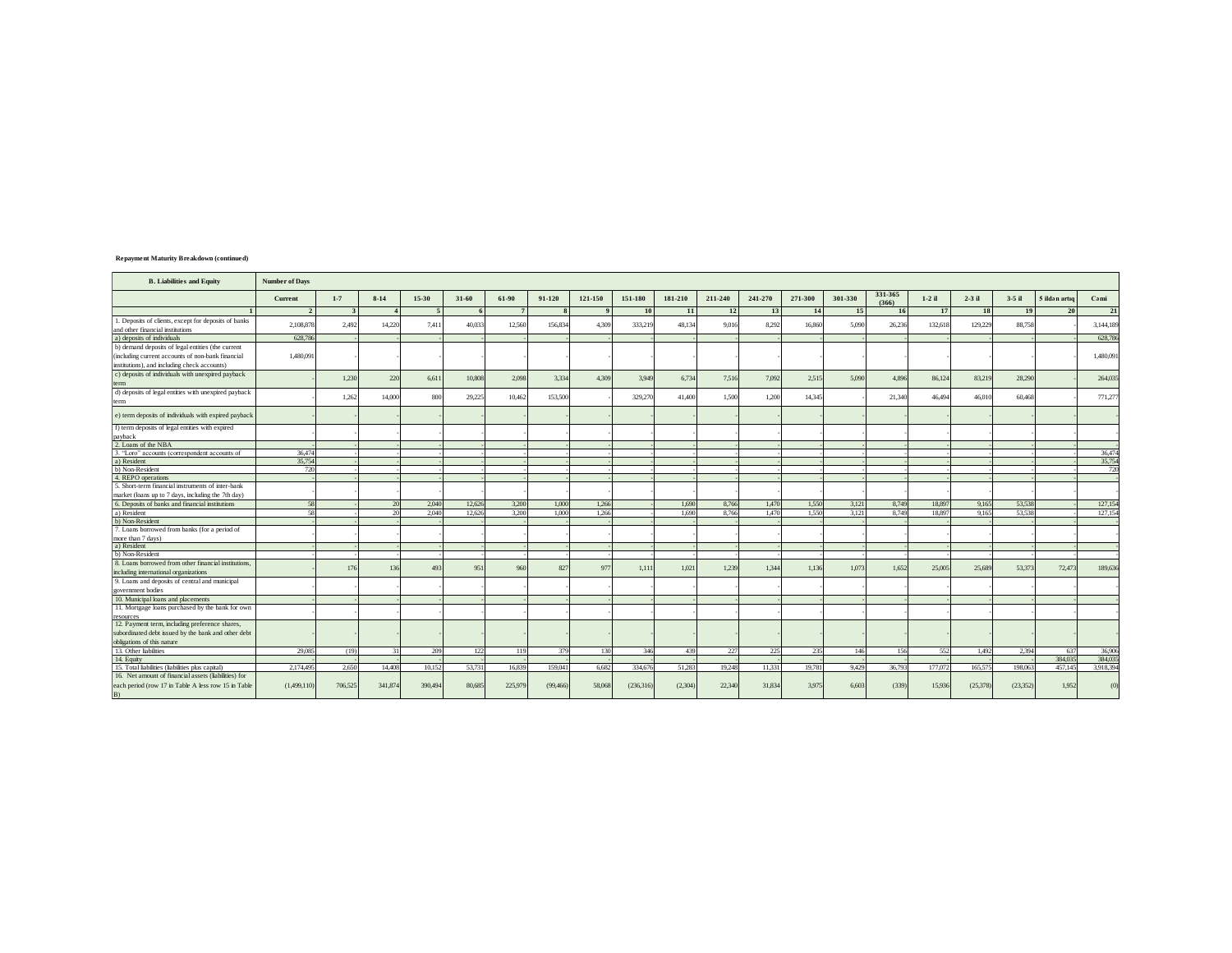| <b>Repayment Maturity Breakdown (continued)</b> |  |  |  |  |  |  |
|-------------------------------------------------|--|--|--|--|--|--|
|-------------------------------------------------|--|--|--|--|--|--|

| <b>B.</b> Liabilities and Equity                     | <b>Number of Days</b> |                |         |         |        |                 |           |         |           |         |         |         |         |         |                  |          |          |          |               |           |
|------------------------------------------------------|-----------------------|----------------|---------|---------|--------|-----------------|-----------|---------|-----------|---------|---------|---------|---------|---------|------------------|----------|----------|----------|---------------|-----------|
|                                                      | Current               | $1 - 7$        | $8-14$  | 15-30   | 31-60  | 61-90           | 91-120    | 121-150 | 151-180   | 181-210 | 211-240 | 241-270 | 271-300 | 301-330 | 331-365<br>(366) | $1-2$ il | $2-3$ il | $3-5$ il | 5 ildən artıq | Cami      |
|                                                      |                       | $\overline{3}$ |         | $\sim$  | 6      | $7\phantom{.0}$ |           |         | 10        | 11      | $12\,$  | 13      | 14      | 15      | <b>16</b>        | 17       | 18       | 19       | 20            | 21        |
| 1. Deposits of clients, except for deposits of banks |                       |                |         |         |        |                 |           |         |           |         |         |         |         |         |                  |          |          |          |               |           |
| and other financial institutions                     | 2.108.878             | 2.492          | 14.220  | 7.411   | 40,033 | 12.560          | 156,834   | 4.309   | 333.219   | 48.134  | 9.016   | 8.292   | 16.860  | 5.090   | 26,236           | 132.618  | 129,229  | 88,758   |               | 3.144.189 |
| a) deposits of individuals                           | 628,786               |                |         |         |        |                 |           |         |           |         |         |         |         |         |                  |          |          |          |               | 628,786   |
| b) demand deposits of legal entities (the current    |                       |                |         |         |        |                 |           |         |           |         |         |         |         |         |                  |          |          |          |               |           |
| (including current accounts of non-bank financial    | 1,480,091             |                |         |         |        |                 |           |         |           |         |         |         |         |         |                  |          |          |          |               | 1,480,091 |
| institutions), and including check accounts)         |                       |                |         |         |        |                 |           |         |           |         |         |         |         |         |                  |          |          |          |               |           |
| c) deposits of individuals with unexpired payback    |                       |                |         |         |        |                 |           |         |           |         |         |         |         |         |                  |          |          |          |               |           |
| term                                                 |                       | 1.230          | 220     | 6.611   | 10,808 | 2.098           | 3.334     | 4.309   | 3.949     | 6.734   | 7.516   | 7.092   | 2.515   | 5.090   | 4.89             | 86,124   | 83,219   | 28.290   |               | 264,035   |
| d) deposits of legal entities with unexpired payback |                       |                |         |         |        |                 |           |         |           |         |         |         |         |         |                  |          |          |          |               |           |
| term                                                 |                       | 1,262          | 14,000  | 800     | 29.225 | 10.462          | 153,500   |         | 329,270   | 41,400  | 1.500   | 1.200   | 14.345  |         | 21.340           | 46,494   | 46,010   | 60.468   |               | 771,277   |
|                                                      |                       |                |         |         |        |                 |           |         |           |         |         |         |         |         |                  |          |          |          |               |           |
| e) term deposits of individuals with expired payback |                       |                |         |         |        |                 |           |         |           |         |         |         |         |         |                  |          |          |          |               |           |
| f) term deposits of legal entities with expired      |                       |                |         |         |        |                 |           |         |           |         |         |         |         |         |                  |          |          |          |               |           |
| payback                                              |                       |                |         |         |        |                 |           |         |           |         |         |         |         |         |                  |          |          |          |               |           |
| 2. Loans of the NBA                                  |                       |                |         |         |        |                 |           |         |           |         |         |         |         |         |                  |          |          |          |               |           |
| 3. "Loro" accounts (correspondent accounts of        | 36,474                |                |         |         |        |                 |           |         |           |         |         |         |         |         |                  |          |          |          |               | 36,474    |
| a) Resident                                          | 35,754                |                |         |         |        |                 |           |         |           |         |         |         |         |         |                  |          |          |          |               | 35,754    |
| b) Non-Resident                                      | 720                   |                |         |         |        |                 |           |         |           |         |         |         |         |         |                  |          |          |          |               | 720       |
| 4. REPO operations                                   |                       |                |         |         |        |                 |           |         |           |         |         |         |         |         |                  |          |          |          |               |           |
| 5. Short-term financial instruments of inter-bank    |                       |                |         |         |        |                 |           |         |           |         |         |         |         |         |                  |          |          |          |               |           |
| market (loans up to 7 days, including the 7th day)   |                       |                |         |         |        |                 |           |         |           |         |         |         |         |         |                  |          |          |          |               |           |
| 6. Deposits of banks and financial institutions      | 58                    |                | 20      | 2.040   | 12.626 | 3.200           | 1,000     | 1,266   |           | 1,690   | 8.766   | 1.470   | 1.550   | 3,121   | 8,749            | 18,897   | 9,165    | 53,538   |               | 127,154   |
| a) Resident                                          | 58                    |                | 20      | 2.040   | 12.626 | 3.200           | 1.000     | 1.266   |           | 1.690   | 8.766   | 1.470   | 1.550   | 3.121   | 8.749            | 18.897   | 9.165    | 53.538   |               | 127,154   |
| b) Non-Resident                                      |                       |                |         |         |        |                 |           |         |           |         |         |         |         |         |                  |          |          |          |               |           |
| 7. Loans borrowed from banks (for a period of        |                       |                |         |         |        |                 |           |         |           |         |         |         |         |         |                  |          |          |          |               |           |
| more than 7 days)                                    |                       |                |         |         |        |                 |           |         |           |         |         |         |         |         |                  |          |          |          |               |           |
| a) Resident                                          |                       |                |         |         |        |                 |           |         |           |         |         |         |         |         |                  |          |          |          |               |           |
| b) Non-Resident                                      |                       |                |         |         |        |                 |           |         |           |         |         |         |         |         |                  |          |          |          |               |           |
| 8. Loans borrowed from other financial institutions. |                       | 176            | 136     | 493     | 951    | 960             | 827       | 97      | 1,11      | 1,021   | 1,239   | 1.344   | 1.136   | 1.073   | 1.652            | 25,005   | 25,689   | 53,373   | 72,473        | 189,636   |
| including international organizations                |                       |                |         |         |        |                 |           |         |           |         |         |         |         |         |                  |          |          |          |               |           |
| 9. Loans and deposits of central and municipal       |                       |                |         |         |        |                 |           |         |           |         |         |         |         |         |                  |          |          |          |               |           |
| government bodies                                    |                       |                |         |         |        |                 |           |         |           |         |         |         |         |         |                  |          |          |          |               |           |
| 10. Municipal loans and placements                   |                       |                |         |         |        |                 |           |         |           |         |         |         |         |         |                  |          |          |          |               |           |
| 11. Mortgage loans purchased by the bank for own     |                       |                |         |         |        |                 |           |         |           |         |         |         |         |         |                  |          |          |          |               |           |
| resources                                            |                       |                |         |         |        |                 |           |         |           |         |         |         |         |         |                  |          |          |          |               |           |
| 12. Payment term, including preference shares,       |                       |                |         |         |        |                 |           |         |           |         |         |         |         |         |                  |          |          |          |               |           |
| subordinated debt issued by the bank and other debt  |                       |                |         |         |        |                 |           |         |           |         |         |         |         |         |                  |          |          |          |               |           |
| obligations of this nature                           |                       |                |         |         |        |                 |           |         |           |         |         |         |         |         |                  |          |          |          |               |           |
| 13. Other liabilities                                | 29,085                | (19)           | 31      | 209     | 122    | 119             | 379       | 130     | 346       | 439     | 227     | 225     | 235     | 146     | 156              | 552      | 1.492    | 2.394    | 637           | 36,906    |
| 14. Equity                                           |                       |                |         |         |        |                 |           |         |           |         |         |         |         |         |                  |          |          |          | 384,035       | 384,035   |
| 15. Total liabilities (liabilities plus capital)     | 2.174.495             | 2.650          | 14.408  | 10.152  | 53,731 | 16,839          | 159,041   | 6.682   | 334.676   | 51.283  | 19.248  | 11.33   | 19.781  | 9.429   | 36.793           | 177,072  | 165,575  | 198,063  | 457,145       | 3.918.394 |
| 16. Net amount of financial assets (liabilities) for |                       |                |         |         |        |                 |           |         |           |         |         |         |         |         |                  |          |          |          |               |           |
| each period (row 17 in Table A less row 15 in Table  | (1,499,110)           | 706.525        | 341,874 | 390,494 | 80,685 | 225,979         | (99, 466) | 58,068  | (236,316) | (2,304) | 22,340  | 31,834  | 3,975   | 6,60    | (339)            | 15,936   | (25.378) | (23.352) | 1.952         | (0)       |
| B)                                                   |                       |                |         |         |        |                 |           |         |           |         |         |         |         |         |                  |          |          |          |               |           |